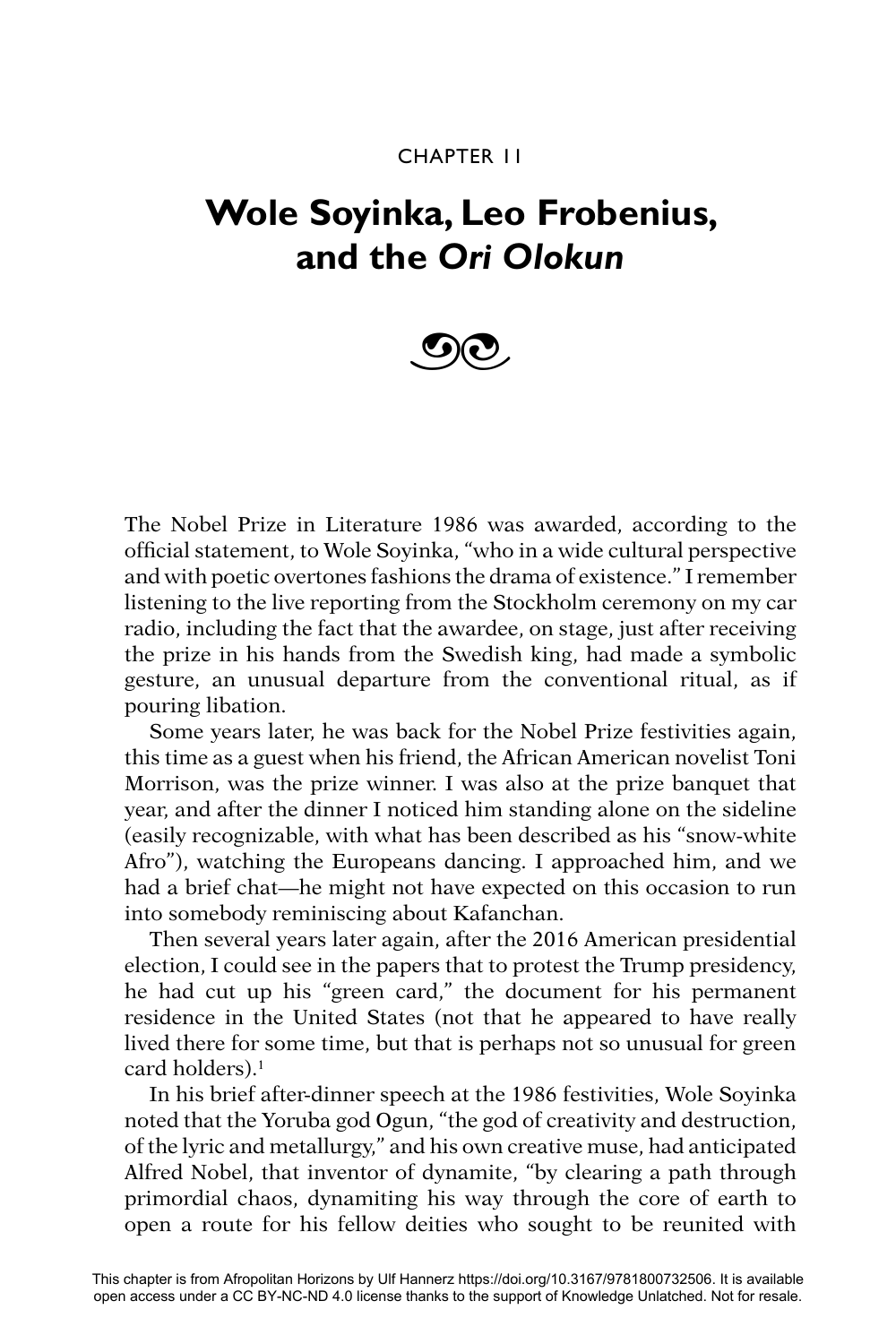#### CHAPTER 11

## **Wole Soyinka, Leo Frobenius, and the** *Ori Olokun*

# $\odot$

The Nobel Prize in Literature 1986 was awarded, according to the official statement, to Wole Soyinka, "who in a wide cultural perspective and with poetic overtones fashions the drama of existence." I remember listening to the live reporting from the Stockholm ceremony on my car radio, including the fact that the awardee, on stage, just after receiving the prize in his hands from the Swedish king, had made a symbolic gesture, an unusual departure from the conventional ritual, as if pouring libation.

Some years later, he was back for the Nobel Prize festivities again, this time as a guest when his friend, the African American novelist Toni Morrison, was the prize winner. I was also at the prize banquet that year, and after the dinner I noticed him standing alone on the sideline (easily recognizable, with what has been described as his "snow-white Afro"), watching the Europeans dancing. I approached him, and we had a brief chat—he might not have expected on this occasion to run into somebody reminiscing about Kafanchan.

Then several years later again, after the 2016 American presidential election, I could see in the papers that to protest the Trump presidency, he had cut up his "green card," the document for his permanent residence in the United States (not that he appeared to have really lived there for some time, but that is perhaps not so unusual for green card holders).1

In his brief after-dinner speech at the 1986 festivities, Wole Soyinka noted that the Yoruba god Ogun, "the god of creativity and destruction, of the lyric and metallurgy," and his own creative muse, had anticipated Alfred Nobel, that inventor of dynamite, "by clearing a path through primordial chaos, dynamiting his way through the core of earth to open a route for his fellow deities who sought to be reunited with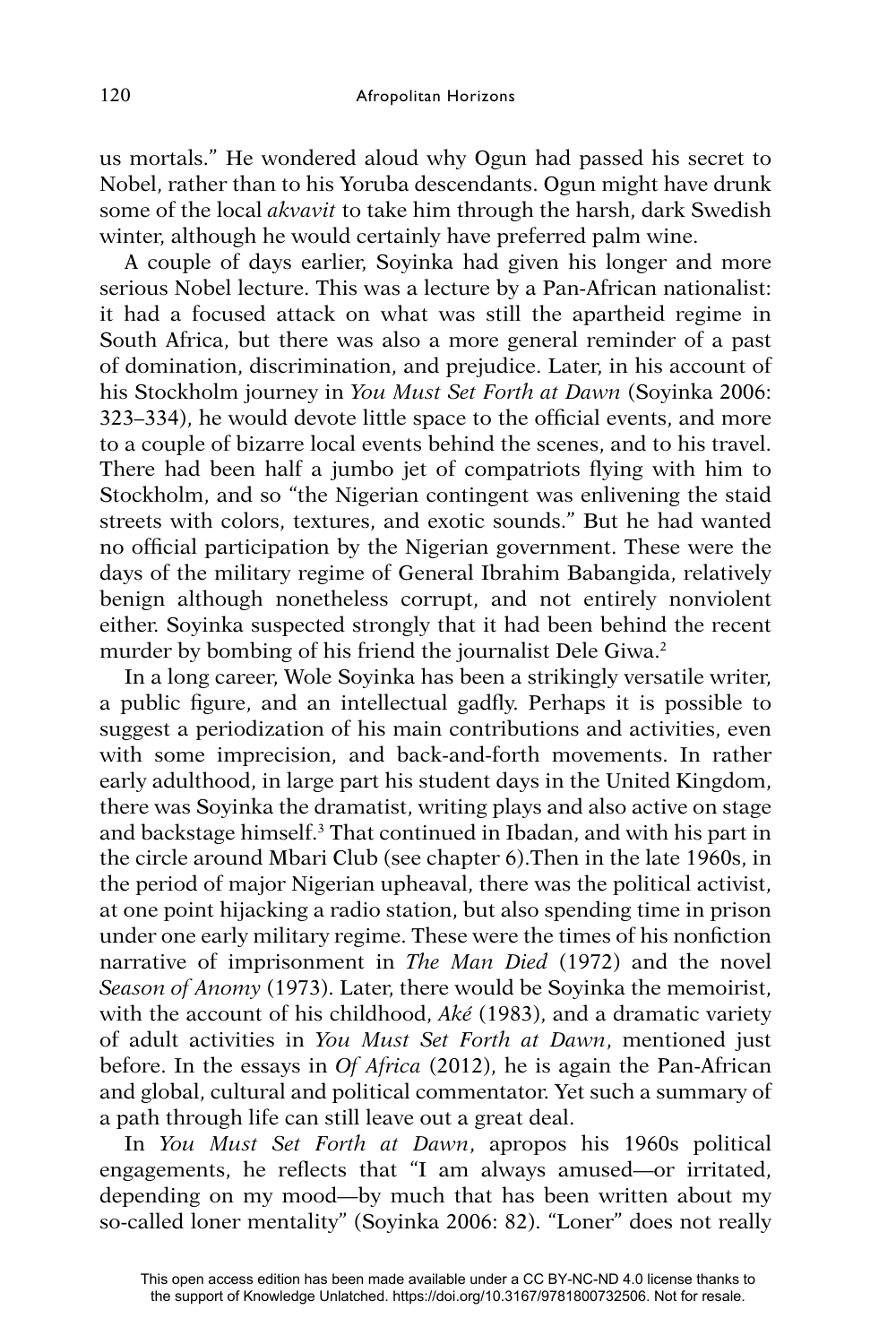us mortals." He wondered aloud why Ogun had passed his secret to Nobel, rather than to his Yoruba descendants. Ogun might have drunk some of the local *akvavit* to take him through the harsh, dark Swedish winter, although he would certainly have preferred palm wine.

A couple of days earlier, Soyinka had given his longer and more serious Nobel lecture. This was a lecture by a Pan-African nationalist: it had a focused attack on what was still the apartheid regime in South Africa, but there was also a more general reminder of a past of domination, discrimination, and prejudice. Later, in his account of his Stockholm journey in *You Must Set Forth at Dawn* (Soyinka 2006: 323–334), he would devote little space to the official events, and more to a couple of bizarre local events behind the scenes, and to his travel. There had been half a jumbo jet of compatriots flying with him to Stockholm, and so "the Nigerian contingent was enlivening the staid streets with colors, textures, and exotic sounds." But he had wanted no official participation by the Nigerian government. These were the days of the military regime of General Ibrahim Babangida, relatively benign although nonetheless corrupt, and not entirely nonviolent either. Soyinka suspected strongly that it had been behind the recent murder by bombing of his friend the journalist Dele Giwa.<sup>2</sup>

In a long career, Wole Soyinka has been a strikingly versatile writer, a public figure, and an intellectual gadfly. Perhaps it is possible to suggest a periodization of his main contributions and activities, even with some imprecision, and back-and-forth movements. In rather early adulthood, in large part his student days in the United Kingdom, there was Soyinka the dramatist, writing plays and also active on stage and backstage himself.3 That continued in Ibadan, and with his part in the circle around Mbari Club (see chapter 6).Then in the late 1960s, in the period of major Nigerian upheaval, there was the political activist, at one point hijacking a radio station, but also spending time in prison under one early military regime. These were the times of his nonfiction narrative of imprisonment in *The Man Died* (1972) and the novel *Season of Anomy* (1973). Later, there would be Soyinka the memoirist, with the account of his childhood, *Aké* (1983), and a dramatic variety of adult activities in *You Must Set Forth at Dawn*, mentioned just before. In the essays in *Of Africa* (2012), he is again the Pan-African and global, cultural and political commentator. Yet such a summary of a path through life can still leave out a great deal.

In *You Must Set Forth at Dawn*, apropos his 1960s political engagements, he reflects that "I am always amused—or irritated, depending on my mood—by much that has been written about my so-called loner mentality" (Soyinka 2006: 82). "Loner" does not really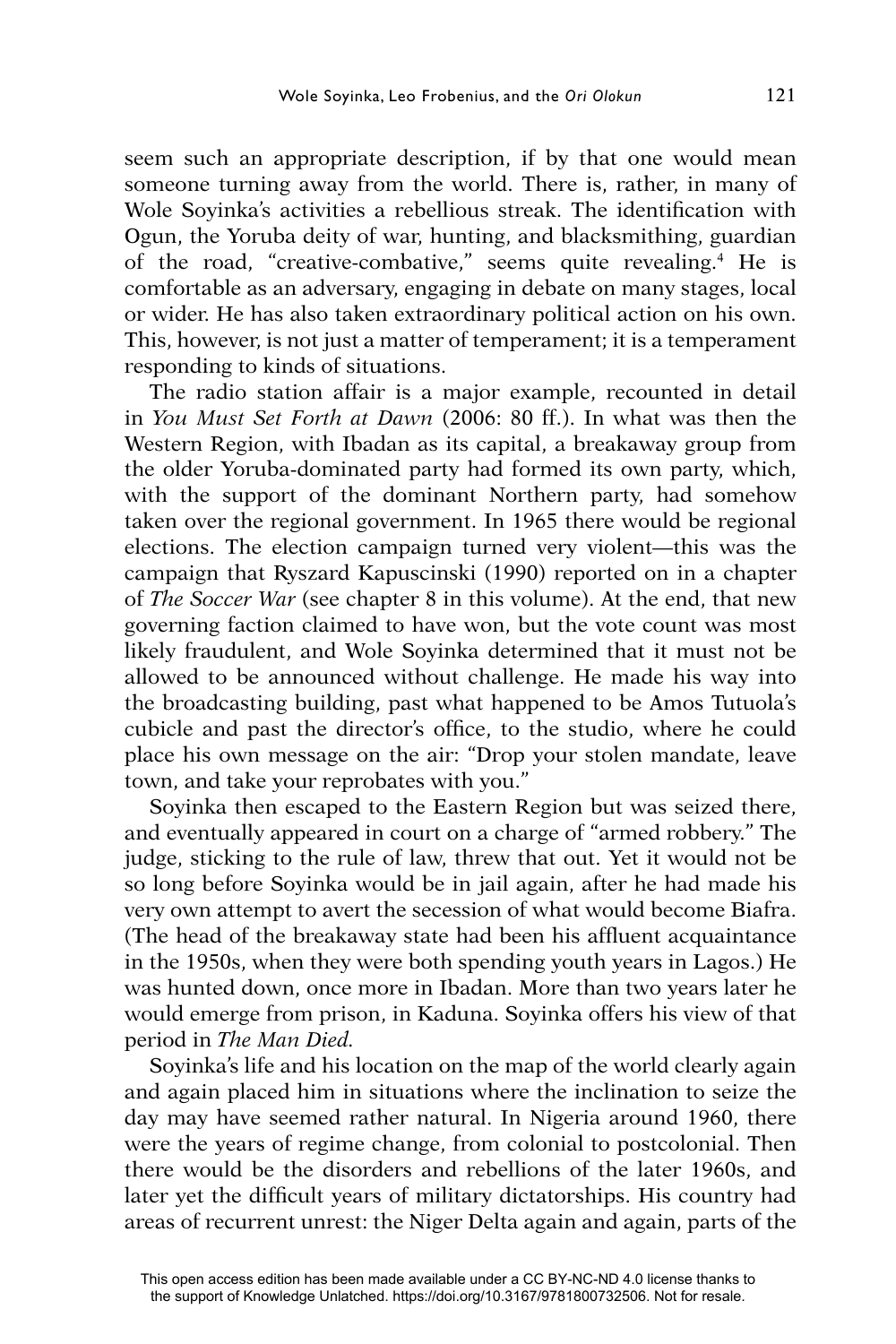seem such an appropriate description, if by that one would mean someone turning away from the world. There is, rather, in many of Wole Soyinka's activities a rebellious streak. The identification with Ogun, the Yoruba deity of war, hunting, and blacksmithing, guardian of the road, "creative-combative," seems quite revealing.4 He is comfortable as an adversary, engaging in debate on many stages, local or wider. He has also taken extraordinary political action on his own. This, however, is not just a matter of temperament; it is a temperament responding to kinds of situations.

The radio station affair is a major example, recounted in detail in *You Must Set Forth at Dawn* (2006: 80 ff.). In what was then the Western Region, with Ibadan as its capital, a breakaway group from the older Yoruba-dominated party had formed its own party, which, with the support of the dominant Northern party, had somehow taken over the regional government. In 1965 there would be regional elections. The election campaign turned very violent—this was the campaign that Ryszard Kapuscinski (1990) reported on in a chapter of *The Soccer War* (see chapter 8 in this volume). At the end, that new governing faction claimed to have won, but the vote count was most likely fraudulent, and Wole Soyinka determined that it must not be allowed to be announced without challenge. He made his way into the broadcasting building, past what happened to be Amos Tutuola's cubicle and past the director's office, to the studio, where he could place his own message on the air: "Drop your stolen mandate, leave town, and take your reprobates with you."

Soyinka then escaped to the Eastern Region but was seized there, and eventually appeared in court on a charge of "armed robbery." The judge, sticking to the rule of law, threw that out. Yet it would not be so long before Soyinka would be in jail again, after he had made his very own attempt to avert the secession of what would become Biafra. (The head of the breakaway state had been his affluent acquaintance in the 1950s, when they were both spending youth years in Lagos.) He was hunted down, once more in Ibadan. More than two years later he would emerge from prison, in Kaduna. Soyinka offers his view of that period in *The Man Died.*

Soyinka's life and his location on the map of the world clearly again and again placed him in situations where the inclination to seize the day may have seemed rather natural. In Nigeria around 1960, there were the years of regime change, from colonial to postcolonial. Then there would be the disorders and rebellions of the later 1960s, and later yet the difficult years of military dictatorships. His country had areas of recurrent unrest: the Niger Delta again and again, parts of the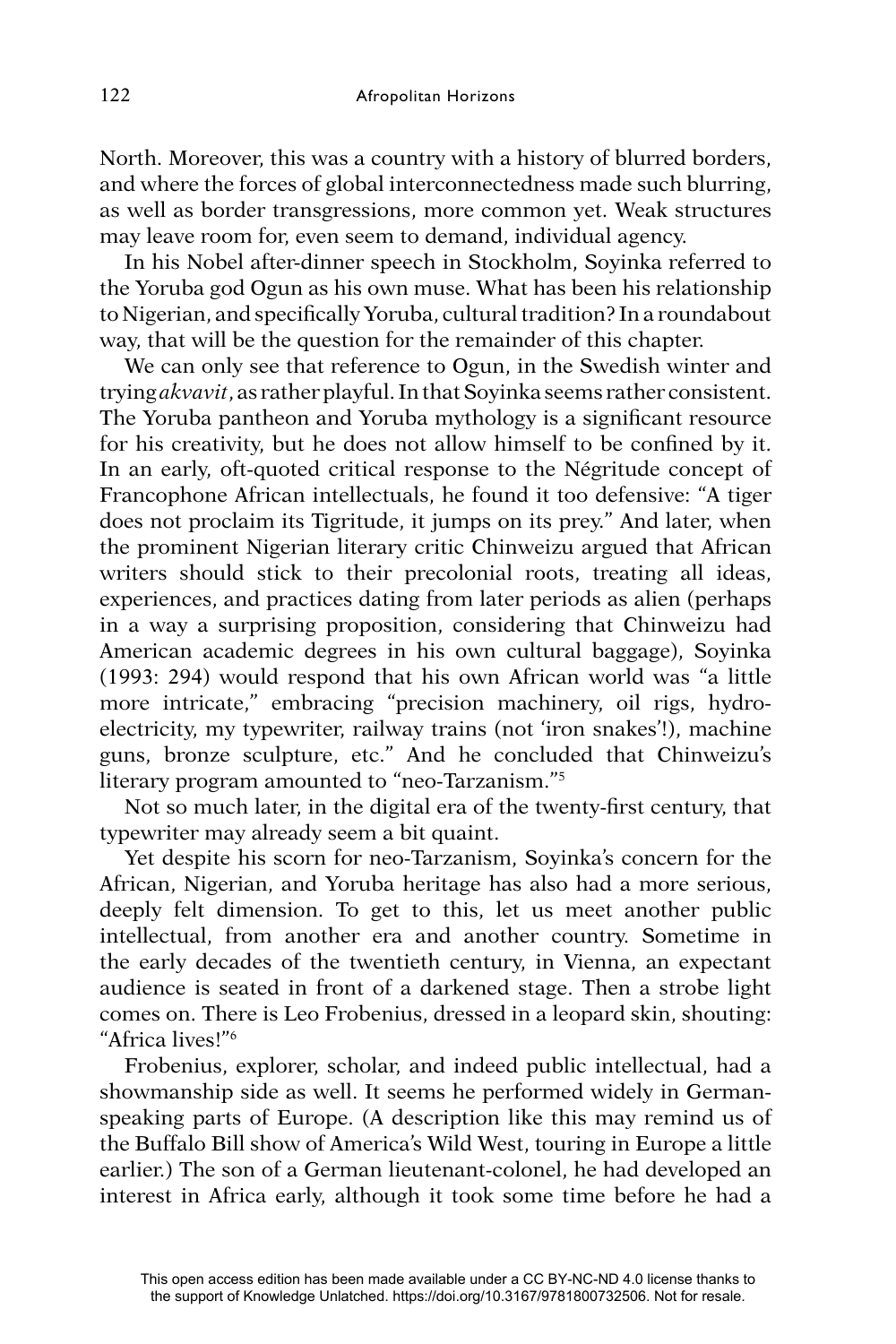North. Moreover, this was a country with a history of blurred borders, and where the forces of global interconnectedness made such blurring, as well as border transgressions, more common yet. Weak structures may leave room for, even seem to demand, individual agency.

In his Nobel after-dinner speech in Stockholm, Soyinka referred to the Yoruba god Ogun as his own muse. What has been his relationship to Nigerian, and specifically Yoruba, cultural tradition? In a roundabout way, that will be the question for the remainder of this chapter.

We can only see that reference to Ogun, in the Swedish winter and trying *akvavit*, as rather playful. In that Soyinka seems rather consistent. The Yoruba pantheon and Yoruba mythology is a significant resource for his creativity, but he does not allow himself to be confined by it. In an early, oft-quoted critical response to the Négritude concept of Francophone African intellectuals, he found it too defensive: "A tiger does not proclaim its Tigritude, it jumps on its prey." And later, when the prominent Nigerian literary critic Chinweizu argued that African writers should stick to their precolonial roots, treating all ideas, experiences, and practices dating from later periods as alien (perhaps in a way a surprising proposition, considering that Chinweizu had American academic degrees in his own cultural baggage), Soyinka (1993: 294) would respond that his own African world was "a little more intricate," embracing "precision machinery, oil rigs, hydroelectricity, my typewriter, railway trains (not 'iron snakes'!), machine guns, bronze sculpture, etc." And he concluded that Chinweizu's literary program amounted to "neo-Tarzanism."5

Not so much later, in the digital era of the twenty-first century, that typewriter may already seem a bit quaint.

Yet despite his scorn for neo-Tarzanism, Soyinka's concern for the African, Nigerian, and Yoruba heritage has also had a more serious, deeply felt dimension. To get to this, let us meet another public intellectual, from another era and another country. Sometime in the early decades of the twentieth century, in Vienna, an expectant audience is seated in front of a darkened stage. Then a strobe light comes on. There is Leo Frobenius, dressed in a leopard skin, shouting: "Africa lives!"6

Frobenius, explorer, scholar, and indeed public intellectual, had a showmanship side as well. It seems he performed widely in Germanspeaking parts of Europe. (A description like this may remind us of the Buffalo Bill show of America's Wild West, touring in Europe a little earlier.) The son of a German lieutenant-colonel, he had developed an interest in Africa early, although it took some time before he had a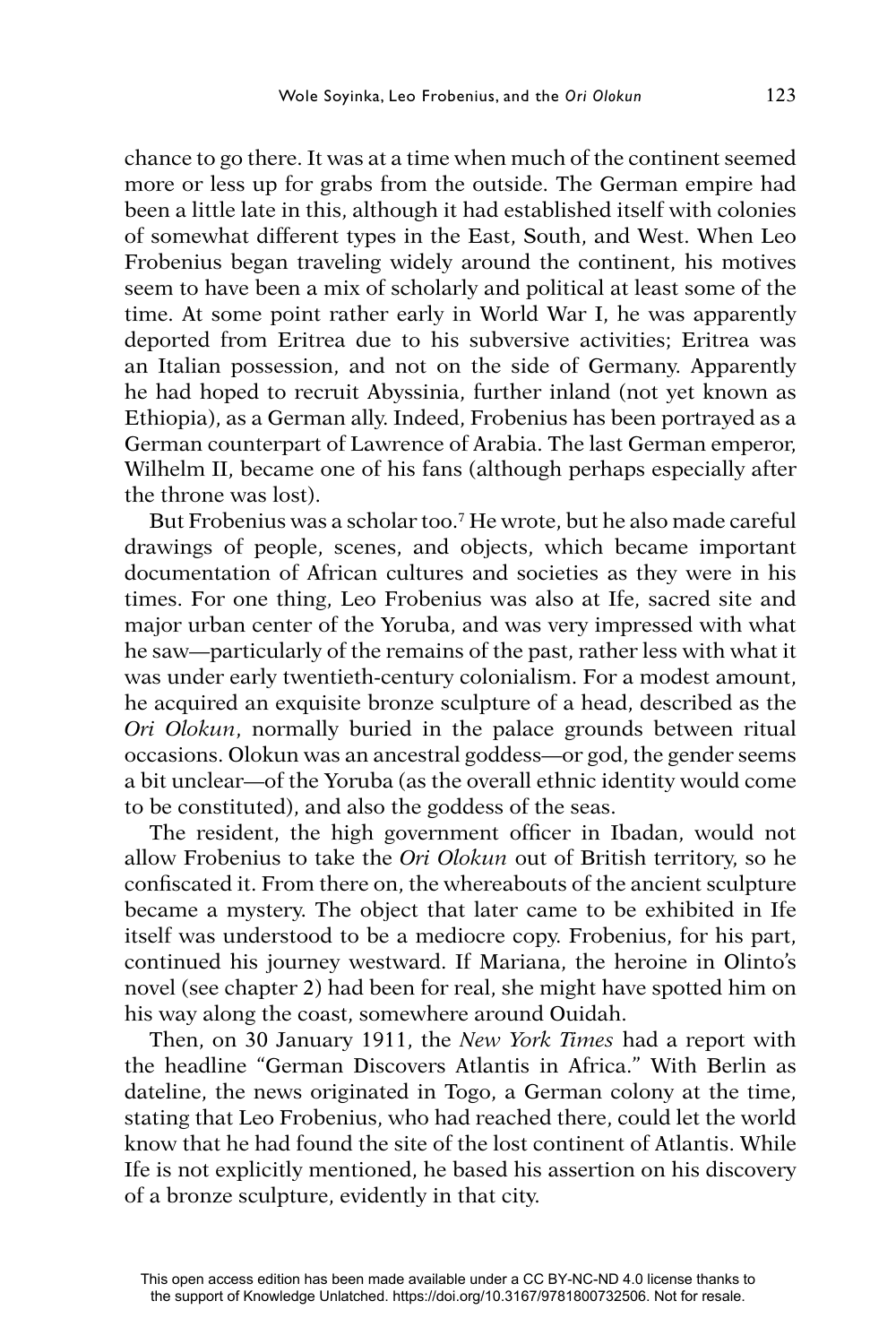chance to go there. It was at a time when much of the continent seemed more or less up for grabs from the outside. The German empire had been a little late in this, although it had established itself with colonies of somewhat different types in the East, South, and West. When Leo Frobenius began traveling widely around the continent, his motives seem to have been a mix of scholarly and political at least some of the time. At some point rather early in World War I, he was apparently deported from Eritrea due to his subversive activities; Eritrea was an Italian possession, and not on the side of Germany. Apparently he had hoped to recruit Abyssinia, further inland (not yet known as Ethiopia), as a German ally. Indeed, Frobenius has been portrayed as a German counterpart of Lawrence of Arabia. The last German emperor, Wilhelm II, became one of his fans (although perhaps especially after the throne was lost).

But Frobenius was a scholar too.7 He wrote, but he also made careful drawings of people, scenes, and objects, which became important documentation of African cultures and societies as they were in his times. For one thing, Leo Frobenius was also at Ife, sacred site and major urban center of the Yoruba, and was very impressed with what he saw—particularly of the remains of the past, rather less with what it was under early twentieth-century colonialism. For a modest amount, he acquired an exquisite bronze sculpture of a head, described as the *Ori Olokun*, normally buried in the palace grounds between ritual occasions. Olokun was an ancestral goddess—or god, the gender seems a bit unclear—of the Yoruba (as the overall ethnic identity would come to be constituted), and also the goddess of the seas.

The resident, the high government officer in Ibadan, would not allow Frobenius to take the *Ori Olokun* out of British territory, so he confiscated it. From there on, the whereabouts of the ancient sculpture became a mystery. The object that later came to be exhibited in Ife itself was understood to be a mediocre copy. Frobenius, for his part, continued his journey westward. If Mariana, the heroine in Olinto's novel (see chapter 2) had been for real, she might have spotted him on his way along the coast, somewhere around Ouidah.

Then, on 30 January 1911, the *New York Times* had a report with the headline "German Discovers Atlantis in Africa." With Berlin as dateline, the news originated in Togo, a German colony at the time, stating that Leo Frobenius, who had reached there, could let the world know that he had found the site of the lost continent of Atlantis. While Ife is not explicitly mentioned, he based his assertion on his discovery of a bronze sculpture, evidently in that city.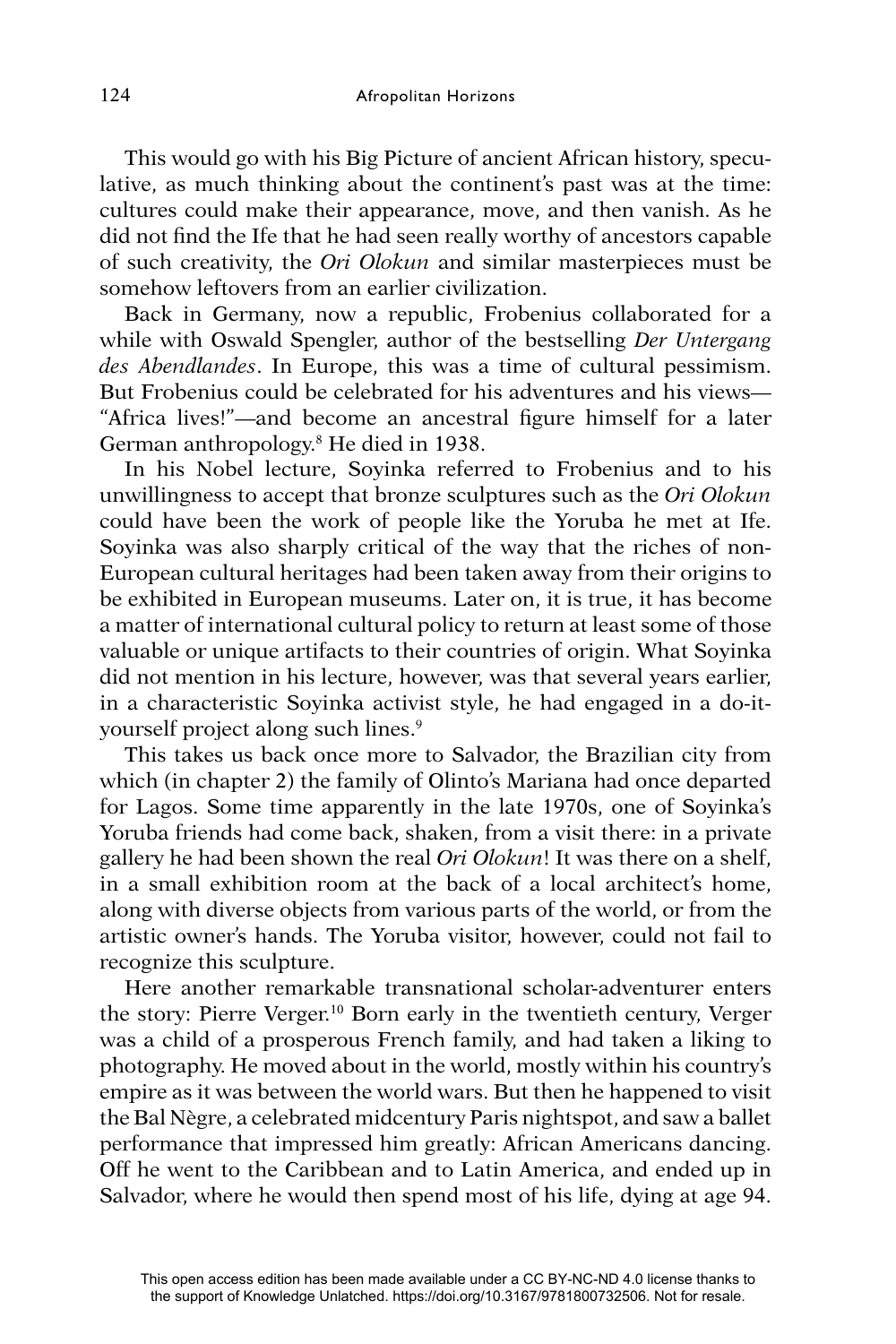This would go with his Big Picture of ancient African history, speculative, as much thinking about the continent's past was at the time: cultures could make their appearance, move, and then vanish. As he did not find the Ife that he had seen really worthy of ancestors capable of such creativity, the *Ori Olokun* and similar masterpieces must be somehow leftovers from an earlier civilization.

Back in Germany, now a republic, Frobenius collaborated for a while with Oswald Spengler, author of the bestselling *Der Untergang des Abendlandes*. In Europe, this was a time of cultural pessimism. But Frobenius could be celebrated for his adventures and his views— "Africa lives!"—and become an ancestral figure himself for a later German anthropology.8 He died in 1938.

In his Nobel lecture, Soyinka referred to Frobenius and to his unwillingness to accept that bronze sculptures such as the *Ori Olokun* could have been the work of people like the Yoruba he met at Ife. Soyinka was also sharply critical of the way that the riches of non-European cultural heritages had been taken away from their origins to be exhibited in European museums. Later on, it is true, it has become a matter of international cultural policy to return at least some of those valuable or unique artifacts to their countries of origin. What Soyinka did not mention in his lecture, however, was that several years earlier, in a characteristic Soyinka activist style, he had engaged in a do-ityourself project along such lines.<sup>9</sup>

This takes us back once more to Salvador, the Brazilian city from which (in chapter 2) the family of Olinto's Mariana had once departed for Lagos. Some time apparently in the late 1970s, one of Soyinka's Yoruba friends had come back, shaken, from a visit there: in a private gallery he had been shown the real *Ori Olokun*! It was there on a shelf, in a small exhibition room at the back of a local architect's home, along with diverse objects from various parts of the world, or from the artistic owner's hands. The Yoruba visitor, however, could not fail to recognize this sculpture.

Here another remarkable transnational scholar-adventurer enters the story: Pierre Verger.10 Born early in the twentieth century, Verger was a child of a prosperous French family, and had taken a liking to photography. He moved about in the world, mostly within his country's empire as it was between the world wars. But then he happened to visit the Bal Nègre, a celebrated midcentury Paris nightspot, and saw a ballet performance that impressed him greatly: African Americans dancing. Off he went to the Caribbean and to Latin America, and ended up in Salvador, where he would then spend most of his life, dying at age 94.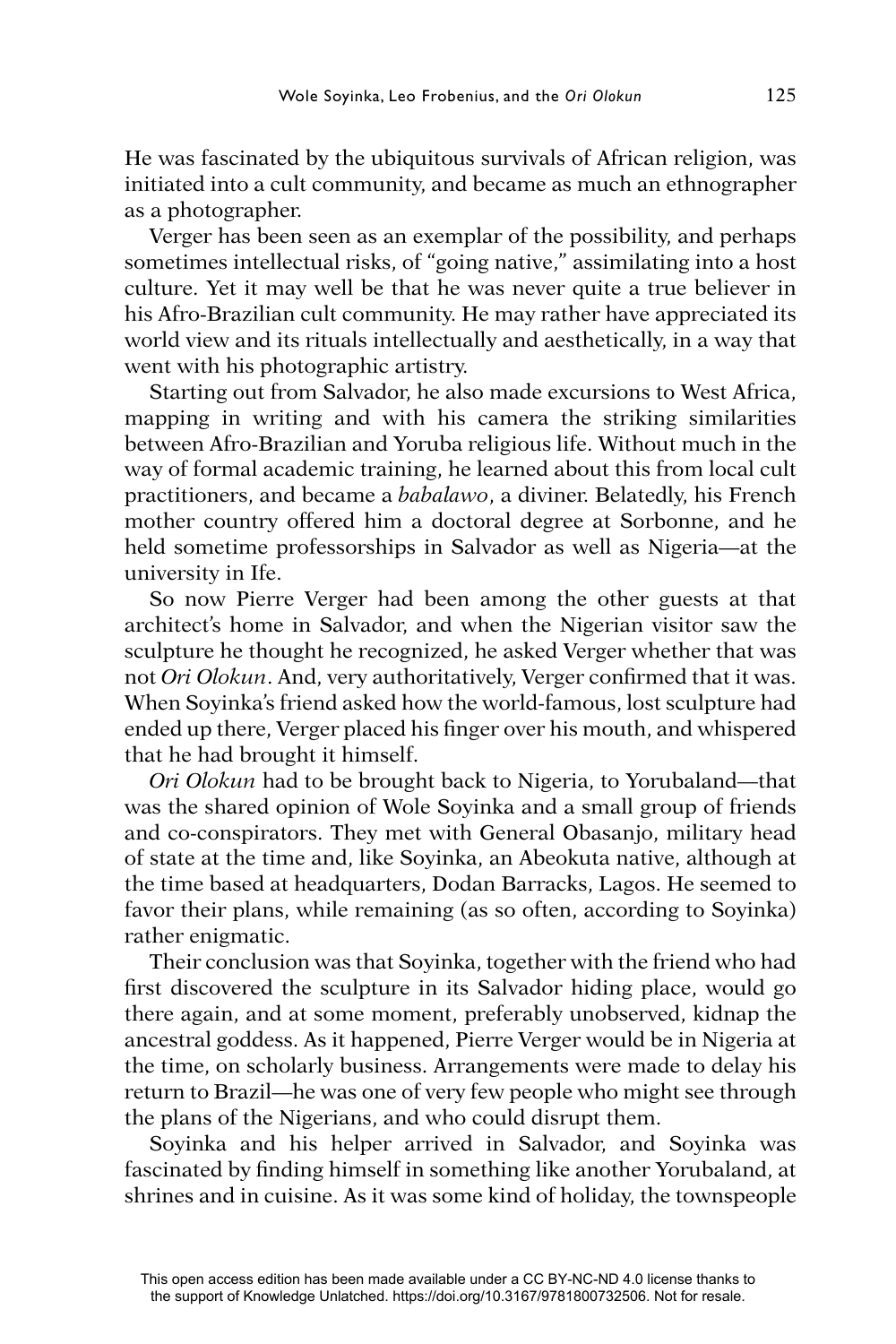He was fascinated by the ubiquitous survivals of African religion, was initiated into a cult community, and became as much an ethnographer as a photographer.

Verger has been seen as an exemplar of the possibility, and perhaps sometimes intellectual risks, of "going native," assimilating into a host culture. Yet it may well be that he was never quite a true believer in his Afro-Brazilian cult community. He may rather have appreciated its world view and its rituals intellectually and aesthetically, in a way that went with his photographic artistry.

Starting out from Salvador, he also made excursions to West Africa, mapping in writing and with his camera the striking similarities between Afro-Brazilian and Yoruba religious life. Without much in the way of formal academic training, he learned about this from local cult practitioners, and became a *babalawo*, a diviner. Belatedly, his French mother country offered him a doctoral degree at Sorbonne, and he held sometime professorships in Salvador as well as Nigeria—at the university in Ife.

So now Pierre Verger had been among the other guests at that architect's home in Salvador, and when the Nigerian visitor saw the sculpture he thought he recognized, he asked Verger whether that was not *Ori Olokun*. And, very authoritatively, Verger confirmed that it was. When Soyinka's friend asked how the world-famous, lost sculpture had ended up there, Verger placed his finger over his mouth, and whispered that he had brought it himself.

*Ori Olokun* had to be brought back to Nigeria, to Yorubaland—that was the shared opinion of Wole Soyinka and a small group of friends and co-conspirators. They met with General Obasanjo, military head of state at the time and, like Soyinka, an Abeokuta native, although at the time based at headquarters, Dodan Barracks, Lagos. He seemed to favor their plans, while remaining (as so often, according to Soyinka) rather enigmatic.

Their conclusion was that Soyinka, together with the friend who had first discovered the sculpture in its Salvador hiding place, would go there again, and at some moment, preferably unobserved, kidnap the ancestral goddess. As it happened, Pierre Verger would be in Nigeria at the time, on scholarly business. Arrangements were made to delay his return to Brazil—he was one of very few people who might see through the plans of the Nigerians, and who could disrupt them.

Soyinka and his helper arrived in Salvador, and Soyinka was fascinated by finding himself in something like another Yorubaland, at shrines and in cuisine. As it was some kind of holiday, the townspeople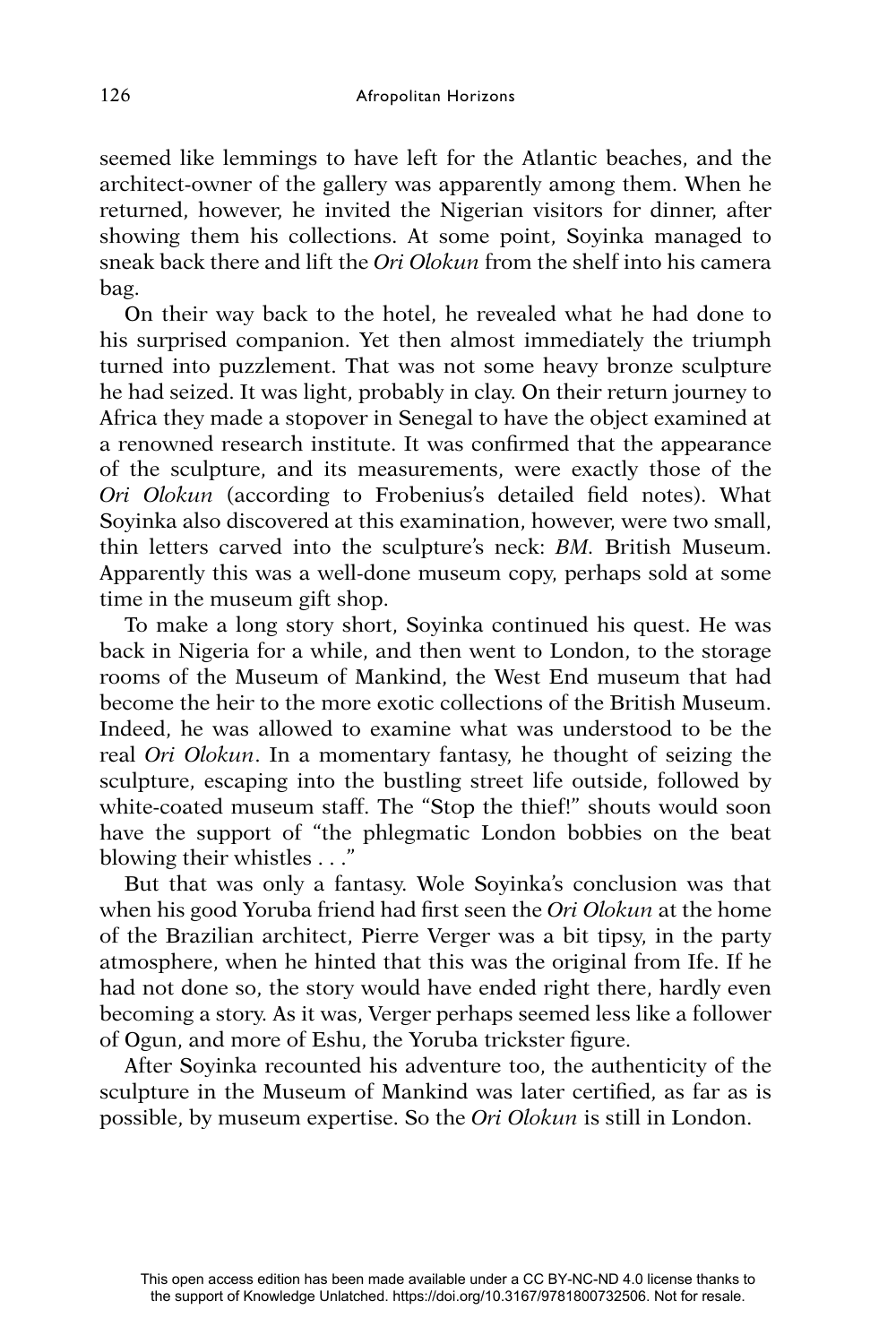seemed like lemmings to have left for the Atlantic beaches, and the architect-owner of the gallery was apparently among them. When he returned, however, he invited the Nigerian visitors for dinner, after showing them his collections. At some point, Soyinka managed to sneak back there and lift the *Ori Olokun* from the shelf into his camera bag.

On their way back to the hotel, he revealed what he had done to his surprised companion. Yet then almost immediately the triumph turned into puzzlement. That was not some heavy bronze sculpture he had seized. It was light, probably in clay. On their return journey to Africa they made a stopover in Senegal to have the object examined at a renowned research institute. It was confirmed that the appearance of the sculpture, and its measurements, were exactly those of the *Ori Olokun* (according to Frobenius's detailed field notes). What Soyinka also discovered at this examination, however, were two small, thin letters carved into the sculpture's neck: *BM.* British Museum. Apparently this was a well-done museum copy, perhaps sold at some time in the museum gift shop.

To make a long story short, Soyinka continued his quest. He was back in Nigeria for a while, and then went to London, to the storage rooms of the Museum of Mankind, the West End museum that had become the heir to the more exotic collections of the British Museum. Indeed, he was allowed to examine what was understood to be the real *Ori Olokun*. In a momentary fantasy, he thought of seizing the sculpture, escaping into the bustling street life outside, followed by white-coated museum staff. The "Stop the thief!" shouts would soon have the support of "the phlegmatic London bobbies on the beat blowing their whistles . . ."

But that was only a fantasy. Wole Soyinka's conclusion was that when his good Yoruba friend had first seen the *Ori Olokun* at the home of the Brazilian architect, Pierre Verger was a bit tipsy, in the party atmosphere, when he hinted that this was the original from Ife. If he had not done so, the story would have ended right there, hardly even becoming a story. As it was, Verger perhaps seemed less like a follower of Ogun, and more of Eshu, the Yoruba trickster figure.

After Soyinka recounted his adventure too, the authenticity of the sculpture in the Museum of Mankind was later certified, as far as is possible, by museum expertise. So the *Ori Olokun* is still in London.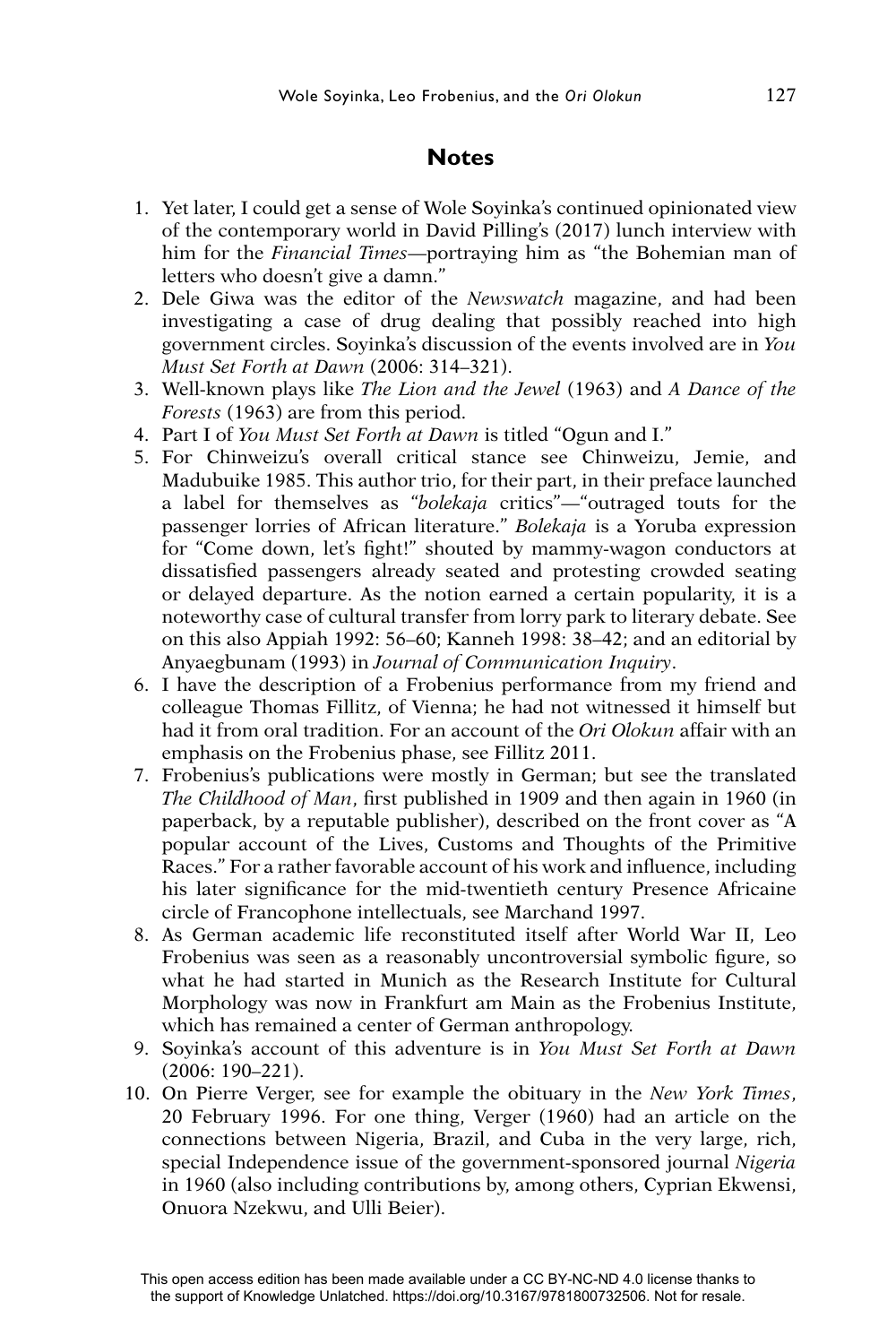### **Notes**

- 1. Yet later, I could get a sense of Wole Soyinka's continued opinionated view of the contemporary world in David Pilling's (2017) lunch interview with him for the *Financial Times*—portraying him as "the Bohemian man of letters who doesn't give a damn."
- 2. Dele Giwa was the editor of the *Newswatch* magazine, and had been investigating a case of drug dealing that possibly reached into high government circles. Soyinka's discussion of the events involved are in *You Must Set Forth at Dawn* (2006: 314–321).
- 3. Well-known plays like *The Lion and the Jewel* (1963) and *A Dance of the Forests* (1963) are from this period.
- 4. Part I of *You Must Set Forth at Dawn* is titled "Ogun and I."
- 5. For Chinweizu's overall critical stance see Chinweizu, Jemie, and Madubuike 1985. This author trio, for their part, in their preface launched a label for themselves as "*bolekaja* critics"—"outraged touts for the passenger lorries of African literature." *Bolekaja* is a Yoruba expression for "Come down, let's fight!" shouted by mammy-wagon conductors at dissatisfied passengers already seated and protesting crowded seating or delayed departure. As the notion earned a certain popularity, it is a noteworthy case of cultural transfer from lorry park to literary debate. See on this also Appiah 1992: 56–60; Kanneh 1998: 38–42; and an editorial by Anyaegbunam (1993) in *Journal of Communication Inquiry*.
- 6. I have the description of a Frobenius performance from my friend and colleague Thomas Fillitz, of Vienna; he had not witnessed it himself but had it from oral tradition. For an account of the *Ori Olokun* affair with an emphasis on the Frobenius phase, see Fillitz 2011.
- 7. Frobenius's publications were mostly in German; but see the translated *The Childhood of Man*, first published in 1909 and then again in 1960 (in paperback, by a reputable publisher), described on the front cover as "A popular account of the Lives, Customs and Thoughts of the Primitive Races." For a rather favorable account of his work and influence, including his later significance for the mid-twentieth century Presence Africaine circle of Francophone intellectuals, see Marchand 1997.
- 8. As German academic life reconstituted itself after World War II, Leo Frobenius was seen as a reasonably uncontroversial symbolic figure, so what he had started in Munich as the Research Institute for Cultural Morphology was now in Frankfurt am Main as the Frobenius Institute, which has remained a center of German anthropology.
- 9. Soyinka's account of this adventure is in *You Must Set Forth at Dawn*  (2006: 190–221).
- 10. On Pierre Verger, see for example the obituary in the *New York Times*, 20 February 1996. For one thing, Verger (1960) had an article on the connections between Nigeria, Brazil, and Cuba in the very large, rich, special Independence issue of the government-sponsored journal *Nigeria*  in 1960 (also including contributions by, among others, Cyprian Ekwensi, Onuora Nzekwu, and Ulli Beier).

This open access edition has been made available under a CC BY-NC-ND 4.0 license thanks to the support of Knowledge Unlatched. https://doi.org/10.3167/9781800732506. Not for resale.